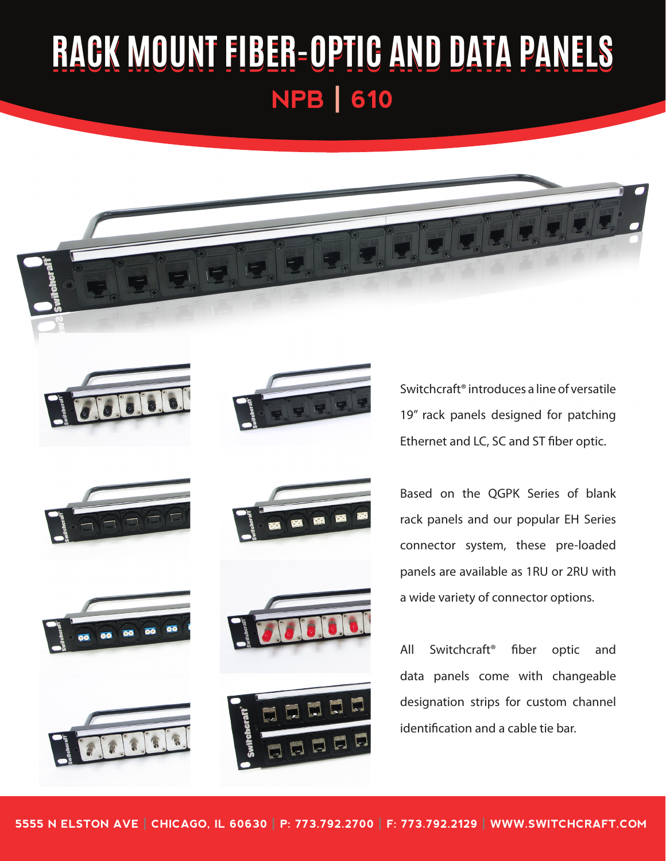## **RACK MOUNT FIBER-OPTIC AND DATA PANELS NPB | 610**

















Switchcraft® introduces a line of versatile 19" rack panels designed for patching Ethernet and LC, SC and ST fiber optic.

Based on the QGPK Series of blank rack panels and our popular EH Series connector system, these pre-loaded panels are available as 1RU or 2RU with a wide variety of connector options.

All Switchcraft® fiber optic and data panels come with changeable designation strips for custom channel identification and a cable tie bar.